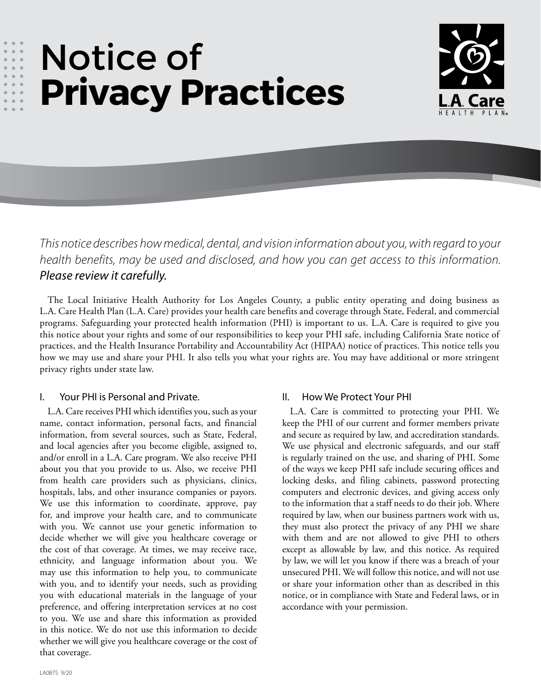# Notice of **Privacy Practices**



*This notice describes how medical, dental, and vision information about you, with regard to your health benefits, may be used and disclosed, and how you can get access to this information. Please review it carefully.*

The Local Initiative Health Authority for Los Angeles County, a public entity operating and doing business as L.A. Care Health Plan (L.A. Care) provides your health care benefits and coverage through State, Federal, and commercial programs. Safeguarding your protected health information (PHI) is important to us. L.A. Care is required to give you this notice about your rights and some of our responsibilities to keep your PHI safe, including California State notice of practices, and the Health Insurance Portability and Accountability Act (HIPAA) notice of practices. This notice tells you how we may use and share your PHI. It also tells you what your rights are. You may have additional or more stringent privacy rights under state law.

## I. Your PHI is Personal and Private.

L.A. Care receives PHI which identifies you, such as your name, contact information, personal facts, and financial information, from several sources, such as State, Federal, and local agencies after you become eligible, assigned to, and/or enroll in a L.A. Care program. We also receive PHI about you that you provide to us. Also, we receive PHI from health care providers such as physicians, clinics, hospitals, labs, and other insurance companies or payors. We use this information to coordinate, approve, pay for, and improve your health care, and to communicate with you. We cannot use your genetic information to decide whether we will give you healthcare coverage or the cost of that coverage. At times, we may receive race, ethnicity, and language information about you. We may use this information to help you, to communicate with you, and to identify your needs, such as providing you with educational materials in the language of your preference, and offering interpretation services at no cost to you. We use and share this information as provided in this notice. We do not use this information to decide whether we will give you healthcare coverage or the cost of that coverage.

## II. How We Protect Your PHI

L.A. Care is committed to protecting your PHI. We keep the PHI of our current and former members private and secure as required by law, and accreditation standards. We use physical and electronic safeguards, and our staff is regularly trained on the use, and sharing of PHI. Some of the ways we keep PHI safe include securing offices and locking desks, and filing cabinets, password protecting computers and electronic devices, and giving access only to the information that a staff needs to do their job. Where required by law, when our business partners work with us, they must also protect the privacy of any PHI we share with them and are not allowed to give PHI to others except as allowable by law, and this notice. As required by law, we will let you know if there was a breach of your unsecured PHI. We will follow this notice, and will not use or share your information other than as described in this notice, or in compliance with State and Federal laws, or in accordance with your permission.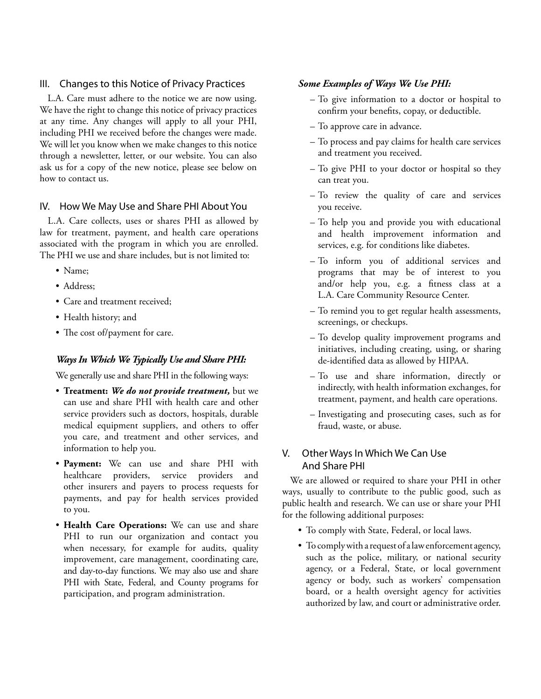## III. Changes to this Notice of Privacy Practices

L.A. Care must adhere to the notice we are now using. We have the right to change this notice of privacy practices at any time. Any changes will apply to all your PHI, including PHI we received before the changes were made. We will let you know when we make changes to this notice through a newsletter, letter, or our website. You can also ask us for a copy of the new notice, please see below on how to contact us.

#### IV. How We May Use and Share PHI About You

L.A. Care collects, uses or shares PHI as allowed by law for treatment, payment, and health care operations associated with the program in which you are enrolled. The PHI we use and share includes, but is not limited to:

- Name;
- Address;
- Care and treatment received;
- Health history; and
- The cost of/payment for care.

## *Ways In Which We Typically Use and Share PHI:*

We generally use and share PHI in the following ways:

- **Treatment:** *We do not provide treatment,* but we can use and share PHI with health care and other service providers such as doctors, hospitals, durable medical equipment suppliers, and others to offer you care, and treatment and other services, and information to help you.
- **Payment:** We can use and share PHI with healthcare providers, service providers and other insurers and payers to process requests for payments, and pay for health services provided to you.
- **Health Care Operations:** We can use and share PHI to run our organization and contact you when necessary, for example for audits, quality improvement, care management, coordinating care, and day-to-day functions. We may also use and share PHI with State, Federal, and County programs for participation, and program administration.

#### *Some Examples of Ways We Use PHI:*

- To give information to a doctor or hospital to confirm your benefits, copay, or deductible.
- To approve care in advance.
- To process and pay claims for health care services and treatment you received.
- To give PHI to your doctor or hospital so they can treat you.
- To review the quality of care and services you receive.
- To help you and provide you with educational and health improvement information and services, e.g. for conditions like diabetes.
- To inform you of additional services and programs that may be of interest to you and/or help you, e.g. a fitness class at a L.A. Care Community Resource Center.
- To remind you to get regular health assessments, screenings, or checkups.
- To develop quality improvement programs and initiatives, including creating, using, or sharing de-identified data as allowed by HIPAA.
- To use and share information, directly or indirectly, with health information exchanges, for treatment, payment, and health care operations.
- Investigating and prosecuting cases, such as for fraud, waste, or abuse.

# V. Other Ways In Which We Can Use And Share PHI

We are allowed or required to share your PHI in other ways, usually to contribute to the public good, such as public health and research. We can use or share your PHI for the following additional purposes:

- To comply with State, Federal, or local laws.
- To comply with a request of a law enforcement agency, such as the police, military, or national security agency, or a Federal, State, or local government agency or body, such as workers' compensation board, or a health oversight agency for activities authorized by law, and court or administrative order.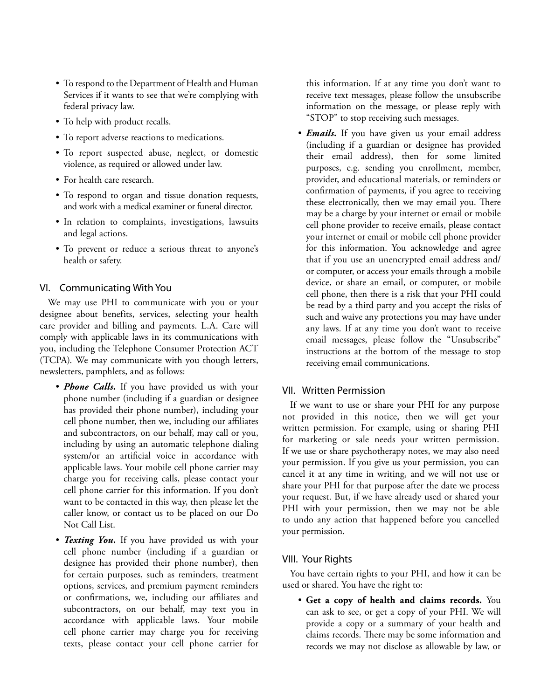- To respond to the Department of Health and Human Services if it wants to see that we're complying with federal privacy law.
- To help with product recalls.
- To report adverse reactions to medications.
- To report suspected abuse, neglect, or domestic violence, as required or allowed under law.
- For health care research.
- To respond to organ and tissue donation requests, and work with a medical examiner or funeral director.
- In relation to complaints, investigations, lawsuits and legal actions.
- To prevent or reduce a serious threat to anyone's health or safety.

## VI. Communicating With You

We may use PHI to communicate with you or your designee about benefits, services, selecting your health care provider and billing and payments. L.A. Care will comply with applicable laws in its communications with you, including the Telephone Consumer Protection ACT (TCPA). We may communicate with you though letters, newsletters, pamphlets, and as follows:

- *Phone Calls.* If you have provided us with your phone number (including if a guardian or designee has provided their phone number), including your cell phone number, then we, including our affiliates and subcontractors, on our behalf, may call or you, including by using an automatic telephone dialing system/or an artificial voice in accordance with applicable laws. Your mobile cell phone carrier may charge you for receiving calls, please contact your cell phone carrier for this information. If you don't want to be contacted in this way, then please let the caller know, or contact us to be placed on our Do Not Call List.
- *Texting You.* If you have provided us with your cell phone number (including if a guardian or designee has provided their phone number), then for certain purposes, such as reminders, treatment options, services, and premium payment reminders or confirmations, we, including our affiliates and subcontractors, on our behalf, may text you in accordance with applicable laws. Your mobile cell phone carrier may charge you for receiving texts, please contact your cell phone carrier for

this information. If at any time you don't want to receive text messages, please follow the unsubscribe information on the message, or please reply with "STOP" to stop receiving such messages.

• *Emails.* If you have given us your email address (including if a guardian or designee has provided their email address), then for some limited purposes, e.g. sending you enrollment, member, provider, and educational materials, or reminders or confirmation of payments, if you agree to receiving these electronically, then we may email you. There may be a charge by your internet or email or mobile cell phone provider to receive emails, please contact your internet or email or mobile cell phone provider for this information. You acknowledge and agree that if you use an unencrypted email address and/ or computer, or access your emails through a mobile device, or share an email, or computer, or mobile cell phone, then there is a risk that your PHI could be read by a third party and you accept the risks of such and waive any protections you may have under any laws. If at any time you don't want to receive email messages, please follow the "Unsubscribe" instructions at the bottom of the message to stop receiving email communications.

## VII. Written Permission

If we want to use or share your PHI for any purpose not provided in this notice, then we will get your written permission. For example, using or sharing PHI for marketing or sale needs your written permission. If we use or share psychotherapy notes, we may also need your permission. If you give us your permission, you can cancel it at any time in writing, and we will not use or share your PHI for that purpose after the date we process your request. But, if we have already used or shared your PHI with your permission, then we may not be able to undo any action that happened before you cancelled your permission.

## VIII. Your Rights

You have certain rights to your PHI, and how it can be used or shared. You have the right to:

• **Get a copy of health and claims records.** You can ask to see, or get a copy of your PHI. We will provide a copy or a summary of your health and claims records. There may be some information and records we may not disclose as allowable by law, or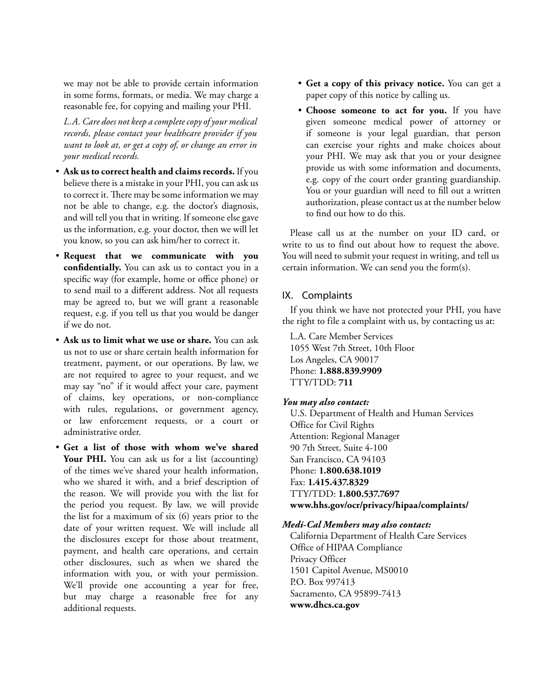we may not be able to provide certain information in some forms, formats, or media. We may charge a reasonable fee, for copying and mailing your PHI.

*L.A. Care does not keep a complete copy of your medical records, please contact your healthcare provider if you want to look at, or get a copy of, or change an error in your medical records.* 

- **Ask us to correct health and claims records.** If you believe there is a mistake in your PHI, you can ask us to correct it. There may be some information we may not be able to change, e.g. the doctor's diagnosis, and will tell you that in writing. If someone else gave us the information, e.g. your doctor, then we will let you know, so you can ask him/her to correct it.
- **Request that we communicate with you confidentially.** You can ask us to contact you in a specific way (for example, home or office phone) or to send mail to a different address. Not all requests may be agreed to, but we will grant a reasonable request, e.g. if you tell us that you would be danger if we do not.
- **Ask us to limit what we use or share.** You can ask us not to use or share certain health information for treatment, payment, or our operations. By law, we are not required to agree to your request, and we may say "no" if it would affect your care, payment of claims, key operations, or non-compliance with rules, regulations, or government agency, or law enforcement requests, or a court or administrative order.
- **Get a list of those with whom we've shared**  Your PHI. You can ask us for a list (accounting) of the times we've shared your health information, who we shared it with, and a brief description of the reason. We will provide you with the list for the period you request. By law, we will provide the list for a maximum of six (6) years prior to the date of your written request. We will include all the disclosures except for those about treatment, payment, and health care operations, and certain other disclosures, such as when we shared the information with you, or with your permission. We'll provide one accounting a year for free, but may charge a reasonable free for any additional requests.
- **Get a copy of this privacy notice.** You can get a paper copy of this notice by calling us.
- **Choose someone to act for you.** If you have given someone medical power of attorney or if someone is your legal guardian, that person can exercise your rights and make choices about your PHI. We may ask that you or your designee provide us with some information and documents, e.g. copy of the court order granting guardianship. You or your guardian will need to fill out a written authorization, please contact us at the number below to find out how to do this.

Please call us at the number on your ID card, or write to us to find out about how to request the above. You will need to submit your request in writing, and tell us certain information. We can send you the form(s).

#### IX. Complaints

If you think we have not protected your PHI, you have the right to file a complaint with us, by contacting us at:

L.A. Care Member Services 1055 West 7th Street, 10th Floor Los Angeles, CA 90017 Phone: **1.888.839.9909** TTY/TDD: **711**

#### *You may also contact:*

U.S. Department of Health and Human Services Office for Civil Rights Attention: Regional Manager 90 7th Street, Suite 4-100 San Francisco, CA 94103 Phone: **1.800.638.1019** Fax: **1.415.437.8329** TTY/TDD: **1.800.537.7697 [www.hhs.gov/ocr/privacy/hipaa/complaints/](http://www.hhs.gov/ocr/privacy/hipaa/complaints/)**

#### *Medi-Cal Members may also contact:*

California Department of Health Care Services Office of HIPAA Compliance Privacy Officer 1501 Capitol Avenue, MS0010 P.O. Box 997413 Sacramento, CA 95899-7413 **[www.dhcs.ca.gov](http://www.dhcs.ca.gov)**